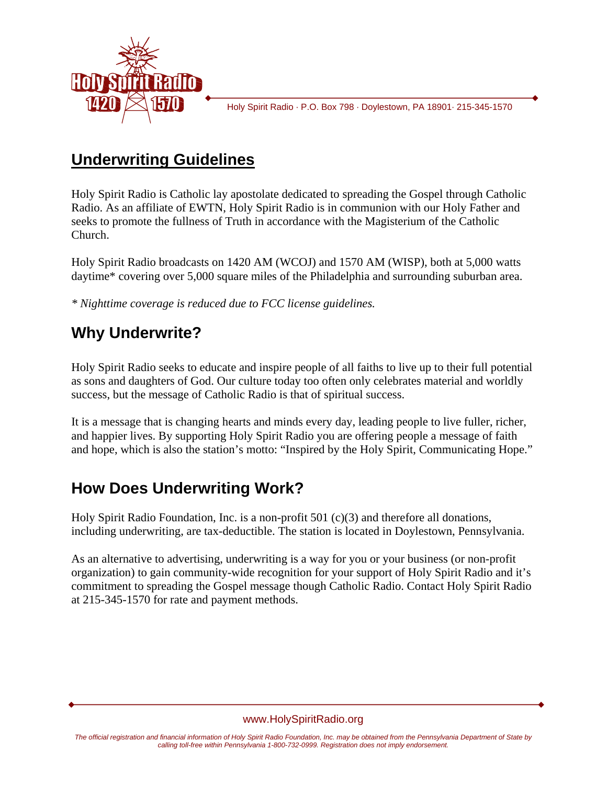

Holy Spirit Radio · P.O. Box 798 · Doylestown, PA 18901· 215-345-1570

## **Underwriting Guidelines**

Holy Spirit Radio is Catholic lay apostolate dedicated to spreading the Gospel through Catholic Radio. As an affiliate of EWTN, Holy Spirit Radio is in communion with our Holy Father and seeks to promote the fullness of Truth in accordance with the Magisterium of the Catholic Church.

Holy Spirit Radio broadcasts on 1420 AM (WCOJ) and 1570 AM (WISP), both at 5,000 watts daytime\* covering over 5,000 square miles of the Philadelphia and surrounding suburban area.

*\* Nighttime coverage is reduced due to FCC license guidelines.* 

## **Why Underwrite?**

Holy Spirit Radio seeks to educate and inspire people of all faiths to live up to their full potential as sons and daughters of God. Our culture today too often only celebrates material and worldly success, but the message of Catholic Radio is that of spiritual success.

It is a message that is changing hearts and minds every day, leading people to live fuller, richer, and happier lives. By supporting Holy Spirit Radio you are offering people a message of faith and hope, which is also the station's motto: "Inspired by the Holy Spirit, Communicating Hope."

# **How Does Underwriting Work?**

Holy Spirit Radio Foundation, Inc. is a non-profit 501 (c)(3) and therefore all donations, including underwriting, are tax-deductible. The station is located in Doylestown, Pennsylvania.

As an alternative to advertising, underwriting is a way for you or your business (or non-profit organization) to gain community-wide recognition for your support of Holy Spirit Radio and it's commitment to spreading the Gospel message though Catholic Radio. Contact Holy Spirit Radio at 215-345-1570 for rate and payment methods.

#### www.HolySpiritRadio.org

*The official registration and financial information of Holy Spirit Radio Foundation, Inc. may be obtained from the Pennsylvania Department of State by calling toll-free within Pennsylvania 1-800-732-0999. Registration does not imply endorsement.*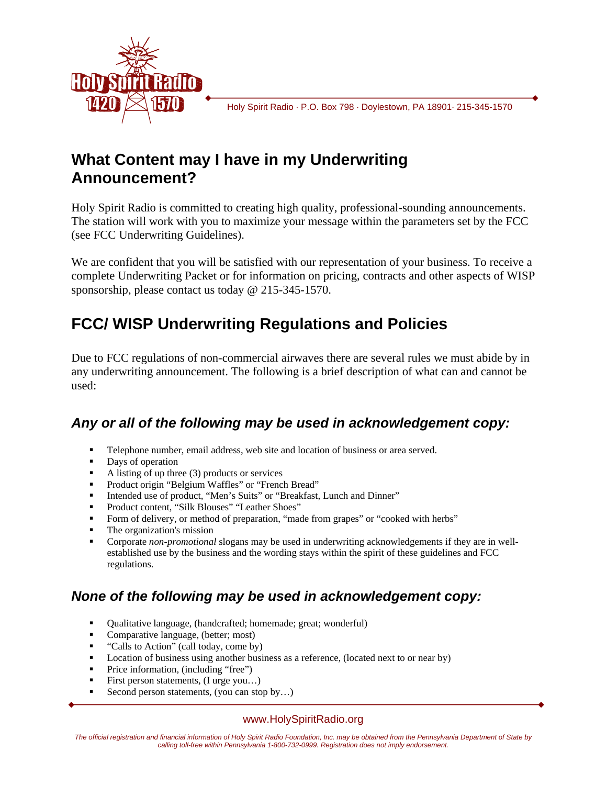

Holy Spirit Radio · P.O. Box 798 · Doylestown, PA 18901· 215-345-1570

### **What Content may I have in my Underwriting Announcement?**

Holy Spirit Radio is committed to creating high quality, professional-sounding announcements. The station will work with you to maximize your message within the parameters set by the FCC (see FCC Underwriting Guidelines).

We are confident that you will be satisfied with our representation of your business. To receive a complete Underwriting Packet or for information on pricing, contracts and other aspects of WISP sponsorship, please contact us today @ 215-345-1570.

## **FCC/ WISP Underwriting Regulations and Policies**

Due to FCC regulations of non-commercial airwaves there are several rules we must abide by in any underwriting announcement. The following is a brief description of what can and cannot be used:

### *Any or all of the following may be used in acknowledgement copy:*

- Telephone number, email address, web site and location of business or area served.
- Days of operation
- A listing of up three  $(3)$  products or services
- **Product origin "Belgium Waffles" or "French Bread"**
- Intended use of product, "Men's Suits" or "Breakfast, Lunch and Dinner"
- Product content, "Silk Blouses" "Leather Shoes"
- Form of delivery, or method of preparation, "made from grapes" or "cooked with herbs"
- **The organization's mission**
- Corporate *non-promotional* slogans may be used in underwriting acknowledgements if they are in wellestablished use by the business and the wording stays within the spirit of these guidelines and FCC regulations.

### *None of the following may be used in acknowledgement copy:*

- Qualitative language, (handcrafted; homemade; great; wonderful)
- Comparative language, (better; most)
- "Calls to Action" (call today, come by)
- **Location of business using another business as a reference, (located next to or near by)**
- **Price information, (including "free")**
- First person statements, (I urge you…)
- Second person statements, (you can stop by...)

#### www.HolySpiritRadio.org

*The official registration and financial information of Holy Spirit Radio Foundation, Inc. may be obtained from the Pennsylvania Department of State by calling toll-free within Pennsylvania 1-800-732-0999. Registration does not imply endorsement.*